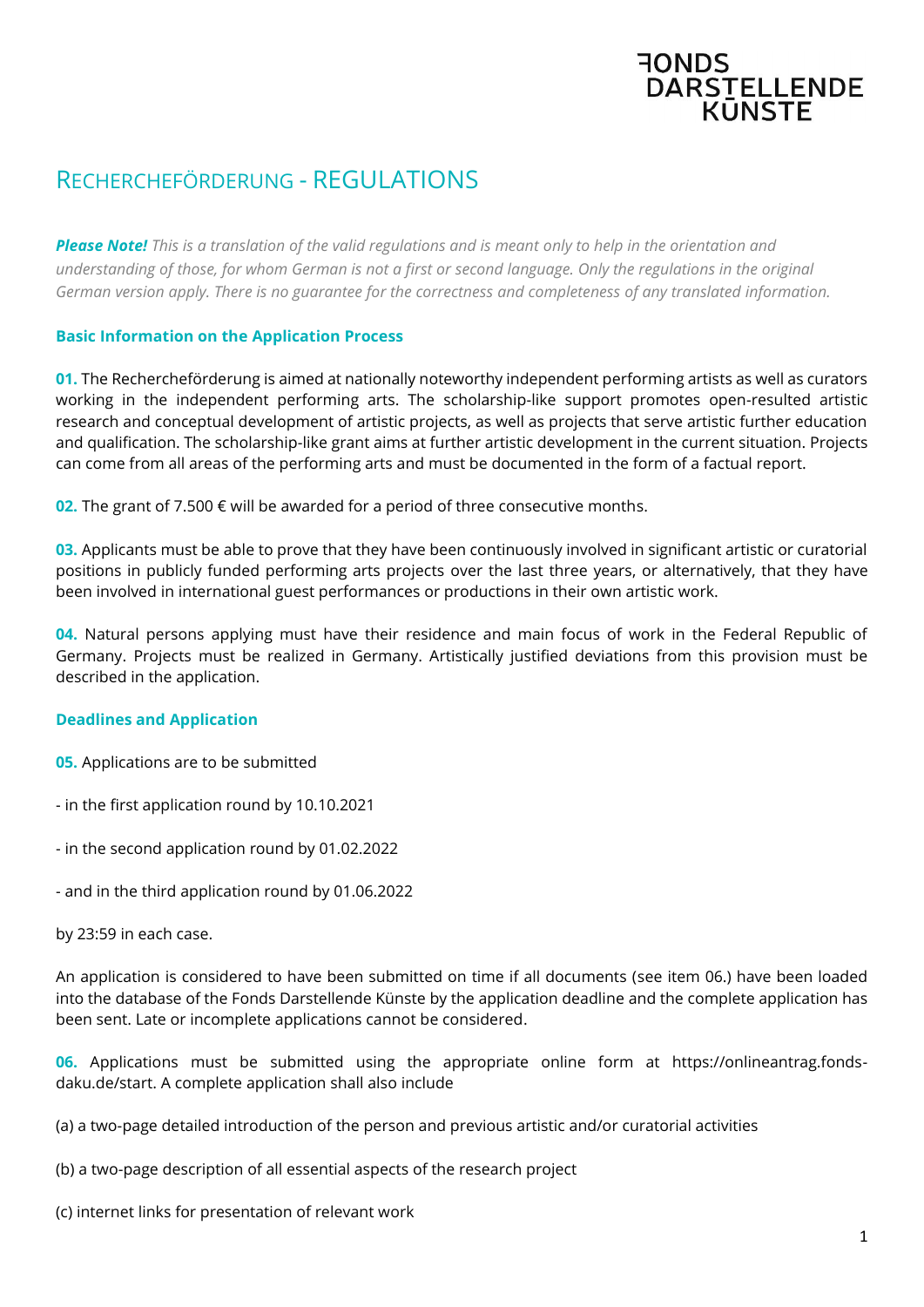# RECHERCHEFÖRDERUNG - REGULATIONS

*Please Note! This is a translation of the valid regulations and is meant only to help in the orientation and understanding of those, for whom German is not a first or second language. Only the regulations in the original German version apply. There is no guarantee for the correctness and completeness of any translated information.*

**FONDS** 

DARSTELLENDE

## **Basic Information on the Application Process**

**01.** The Rechercheförderung is aimed at nationally noteworthy independent performing artists as well as curators working in the independent performing arts. The scholarship-like support promotes open-resulted artistic research and conceptual development of artistic projects, as well as projects that serve artistic further education and qualification. The scholarship-like grant aims at further artistic development in the current situation. Projects can come from all areas of the performing arts and must be documented in the form of a factual report.

**02.** The grant of 7.500 € will be awarded for a period of three consecutive months.

**03.** Applicants must be able to prove that they have been continuously involved in significant artistic or curatorial positions in publicly funded performing arts projects over the last three years, or alternatively, that they have been involved in international guest performances or productions in their own artistic work.

**04.** Natural persons applying must have their residence and main focus of work in the Federal Republic of Germany. Projects must be realized in Germany. Artistically justified deviations from this provision must be described in the application.

### **Deadlines and Application**

- **05.** Applications are to be submitted
- in the first application round by 10.10.2021
- in the second application round by 01.02.2022
- and in the third application round by 01.06.2022
- by 23:59 in each case.

An application is considered to have been submitted on time if all documents (see item 06.) have been loaded into the database of the Fonds Darstellende Künste by the application deadline and the complete application has been sent. Late or incomplete applications cannot be considered.

**06.** Applications must be submitted using the appropriate online form at https://onlineantrag.fondsdaku.de/start. A complete application shall also include

(a) a two-page detailed introduction of the person and previous artistic and/or curatorial activities

- (b) a two-page description of all essential aspects of the research project
- (c) internet links for presentation of relevant work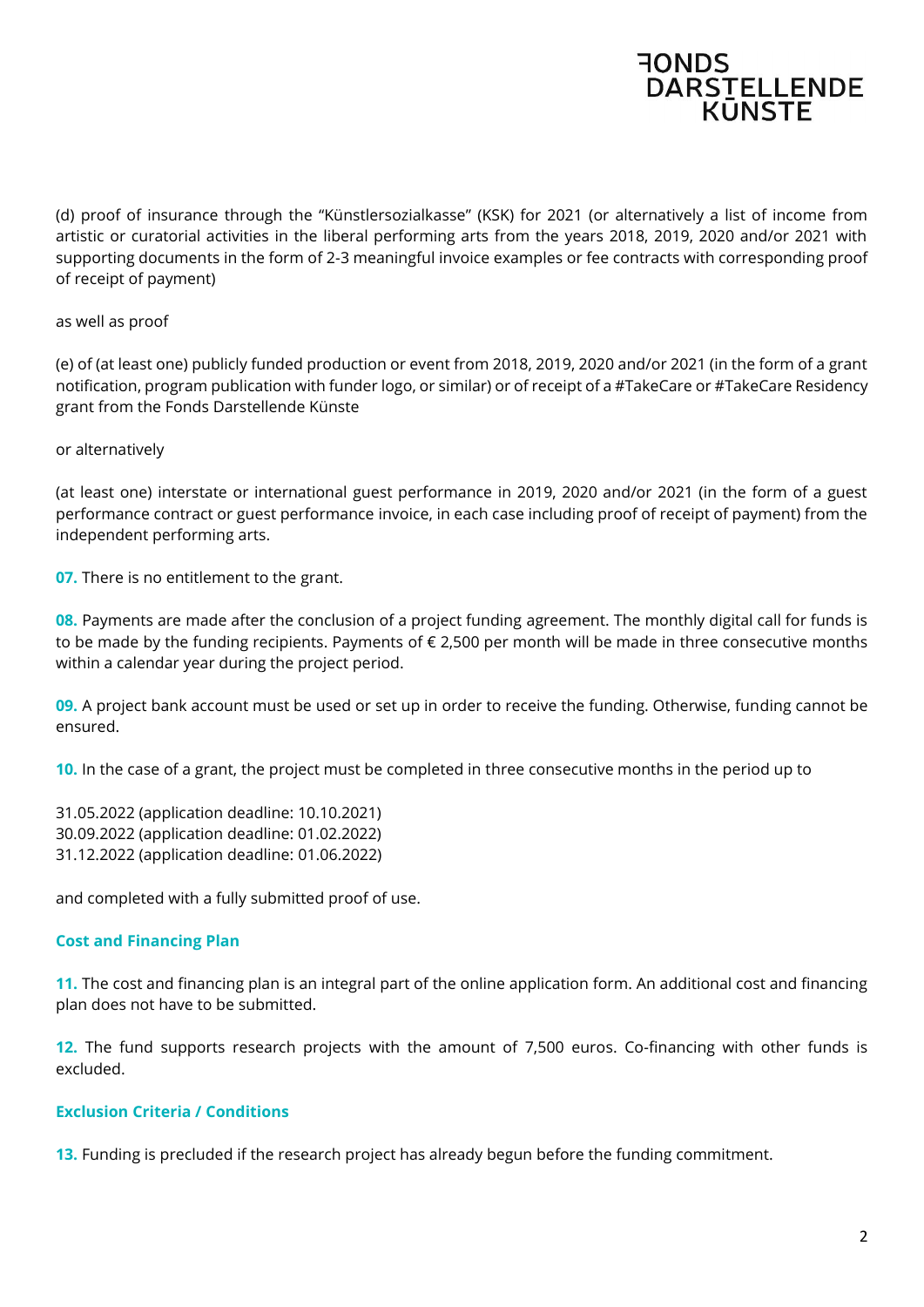

(d) proof of insurance through the "Künstlersozialkasse" (KSK) for 2021 (or alternatively a list of income from artistic or curatorial activities in the liberal performing arts from the years 2018, 2019, 2020 and/or 2021 with supporting documents in the form of 2-3 meaningful invoice examples or fee contracts with corresponding proof of receipt of payment)

as well as proof

(e) of (at least one) publicly funded production or event from 2018, 2019, 2020 and/or 2021 (in the form of a grant notification, program publication with funder logo, or similar) or of receipt of a #TakeCare or #TakeCare Residency grant from the Fonds Darstellende Künste

or alternatively

(at least one) interstate or international guest performance in 2019, 2020 and/or 2021 (in the form of a guest performance contract or guest performance invoice, in each case including proof of receipt of payment) from the independent performing arts.

**07.** There is no entitlement to the grant.

**08.** Payments are made after the conclusion of a project funding agreement. The monthly digital call for funds is to be made by the funding recipients. Payments of  $\epsilon$  2,500 per month will be made in three consecutive months within a calendar year during the project period.

**09.** A project bank account must be used or set up in order to receive the funding. Otherwise, funding cannot be ensured.

**10.** In the case of a grant, the project must be completed in three consecutive months in the period up to

31.05.2022 (application deadline: 10.10.2021) 30.09.2022 (application deadline: 01.02.2022) 31.12.2022 (application deadline: 01.06.2022)

and completed with a fully submitted proof of use.

### **Cost and Financing Plan**

**11.** The cost and financing plan is an integral part of the online application form. An additional cost and financing plan does not have to be submitted.

**12.** The fund supports research projects with the amount of 7,500 euros. Co-financing with other funds is excluded.

### **Exclusion Criteria / Conditions**

**13.** Funding is precluded if the research project has already begun before the funding commitment.